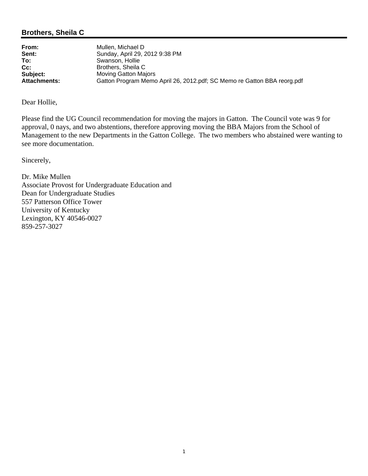## **Brothers, Sheila C**

| From:               | Mullen. Michael D                                                       |
|---------------------|-------------------------------------------------------------------------|
| Sent:               | Sunday, April 29, 2012 9:38 PM                                          |
| To:                 | Swanson, Hollie                                                         |
| $Cc$ :              | Brothers, Sheila C                                                      |
| Subject:            | <b>Moving Gatton Majors</b>                                             |
| <b>Attachments:</b> | Gatton Program Memo April 26, 2012.pdf; SC Memo re Gatton BBA reorg.pdf |

Dear Hollie,

Please find the UG Council recommendation for moving the majors in Gatton. The Council vote was 9 for approval, 0 nays, and two abstentions, therefore approving moving the BBA Majors from the School of Management to the new Departments in the Gatton College. The two members who abstained were wanting to see more documentation.

Sincerely,

Dr. Mike Mullen Associate Provost for Undergraduate Education and Dean for Undergraduate Studies 557 Patterson Office Tower University of Kentucky Lexington, KY 40546-0027 859-257-3027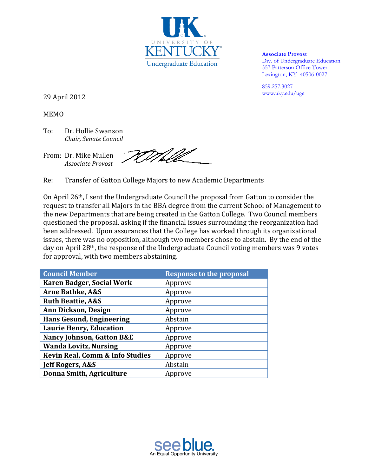

**Associate Provost**  Div. of Undergraduate Education 557 Patterson Office Tower Lexington, KY 40506-0027

859.257.3027 www.uky.edu/uge

29 April 2012

MEMO

To: Dr. Hollie Swanson *Chair, Senate Council*

EM LIV From: Dr. Mike Mullen *Associate Provost*

Re: Transfer of Gatton College Majors to new Academic Departments

On April 26<sup>th</sup>, I sent the Undergraduate Council the proposal from Gatton to consider the request to transfer all Majors in the BBA degree from the current School of Management to the new Departments that are being created in the Gatton College. Two Council members questioned the proposal, asking if the financial issues surrounding the reorganization had been addressed. Upon assurances that the College has worked through its organizational issues, there was no opposition, although two members chose to abstain. By the end of the day on April 28<sup>th</sup>, the response of the Undergraduate Council voting members was 9 votes for approval, with two members abstaining.

| <b>Council Member</b>                      | <b>Response to the proposal</b> |
|--------------------------------------------|---------------------------------|
| <b>Karen Badger, Social Work</b>           | Approve                         |
| <b>Arne Bathke, A&amp;S</b>                | Approve                         |
| <b>Ruth Beattie, A&amp;S</b>               | Approve                         |
| Ann Dickson, Design                        | Approve                         |
| <b>Hans Gesund, Engineering</b>            | Abstain                         |
| <b>Laurie Henry, Education</b>             | Approve                         |
| <b>Nancy Johnson, Gatton B&amp;E</b>       | Approve                         |
| <b>Wanda Lovitz, Nursing</b>               | Approve                         |
| <b>Kevin Real, Comm &amp; Info Studies</b> | Approve                         |
| Jeff Rogers, A&S                           | Abstain                         |
| <b>Donna Smith, Agriculture</b>            | Approve                         |